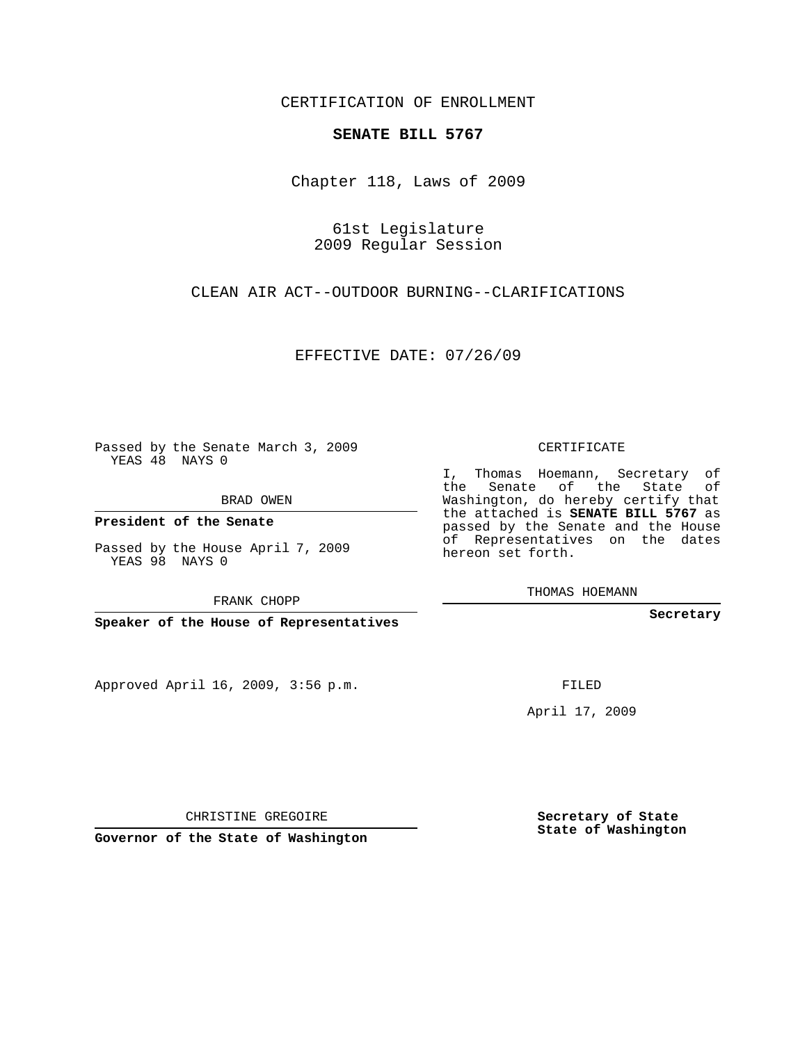CERTIFICATION OF ENROLLMENT

#### **SENATE BILL 5767**

Chapter 118, Laws of 2009

61st Legislature 2009 Regular Session

CLEAN AIR ACT--OUTDOOR BURNING--CLARIFICATIONS

EFFECTIVE DATE: 07/26/09

Passed by the Senate March 3, 2009 YEAS 48 NAYS 0

BRAD OWEN

**President of the Senate**

Passed by the House April 7, 2009 YEAS 98 NAYS 0

FRANK CHOPP

**Speaker of the House of Representatives**

Approved April 16, 2009, 3:56 p.m.

CERTIFICATE

I, Thomas Hoemann, Secretary of the Senate of the State of Washington, do hereby certify that the attached is **SENATE BILL 5767** as passed by the Senate and the House of Representatives on the dates hereon set forth.

THOMAS HOEMANN

**Secretary**

FILED

April 17, 2009

CHRISTINE GREGOIRE

**Governor of the State of Washington**

**Secretary of State State of Washington**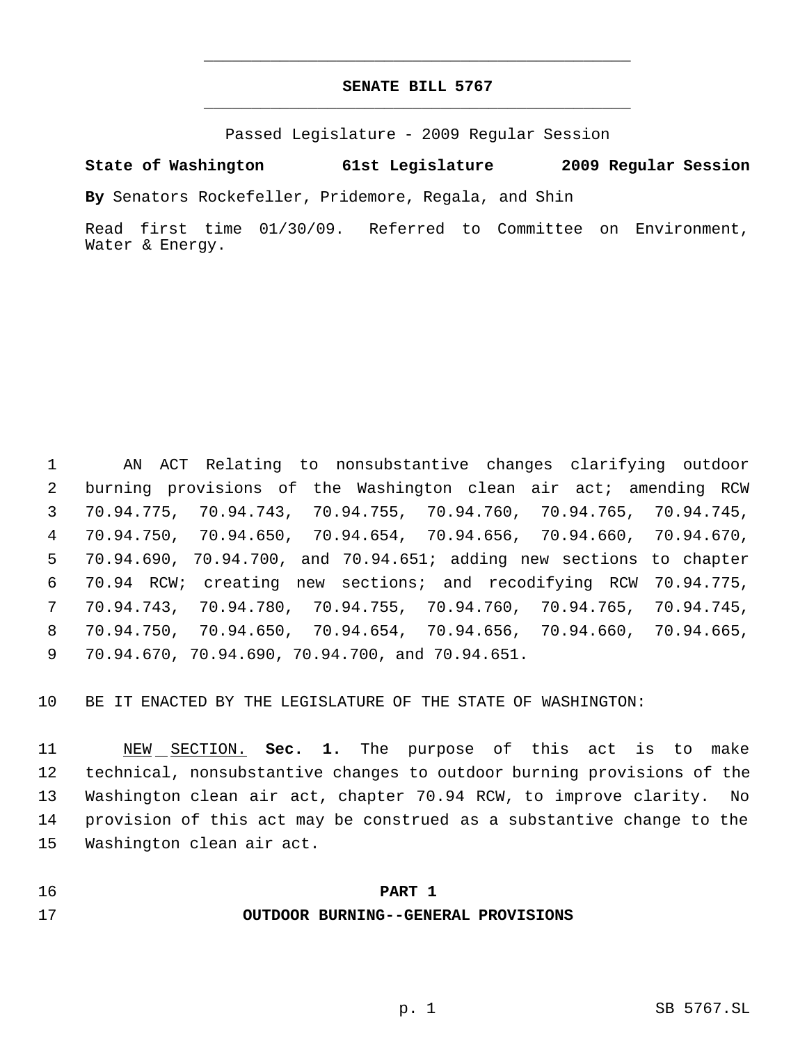# **SENATE BILL 5767** \_\_\_\_\_\_\_\_\_\_\_\_\_\_\_\_\_\_\_\_\_\_\_\_\_\_\_\_\_\_\_\_\_\_\_\_\_\_\_\_\_\_\_\_\_

\_\_\_\_\_\_\_\_\_\_\_\_\_\_\_\_\_\_\_\_\_\_\_\_\_\_\_\_\_\_\_\_\_\_\_\_\_\_\_\_\_\_\_\_\_

Passed Legislature - 2009 Regular Session

**State of Washington 61st Legislature 2009 Regular Session**

**By** Senators Rockefeller, Pridemore, Regala, and Shin

Read first time 01/30/09. Referred to Committee on Environment, Water & Energy.

 AN ACT Relating to nonsubstantive changes clarifying outdoor burning provisions of the Washington clean air act; amending RCW 70.94.775, 70.94.743, 70.94.755, 70.94.760, 70.94.765, 70.94.745, 70.94.750, 70.94.650, 70.94.654, 70.94.656, 70.94.660, 70.94.670, 70.94.690, 70.94.700, and 70.94.651; adding new sections to chapter 70.94 RCW; creating new sections; and recodifying RCW 70.94.775, 70.94.743, 70.94.780, 70.94.755, 70.94.760, 70.94.765, 70.94.745, 70.94.750, 70.94.650, 70.94.654, 70.94.656, 70.94.660, 70.94.665, 70.94.670, 70.94.690, 70.94.700, and 70.94.651.

BE IT ENACTED BY THE LEGISLATURE OF THE STATE OF WASHINGTON:

 NEW SECTION. **Sec. 1.** The purpose of this act is to make technical, nonsubstantive changes to outdoor burning provisions of the Washington clean air act, chapter 70.94 RCW, to improve clarity. No provision of this act may be construed as a substantive change to the Washington clean air act.

#### **PART 1**

#### **OUTDOOR BURNING--GENERAL PROVISIONS**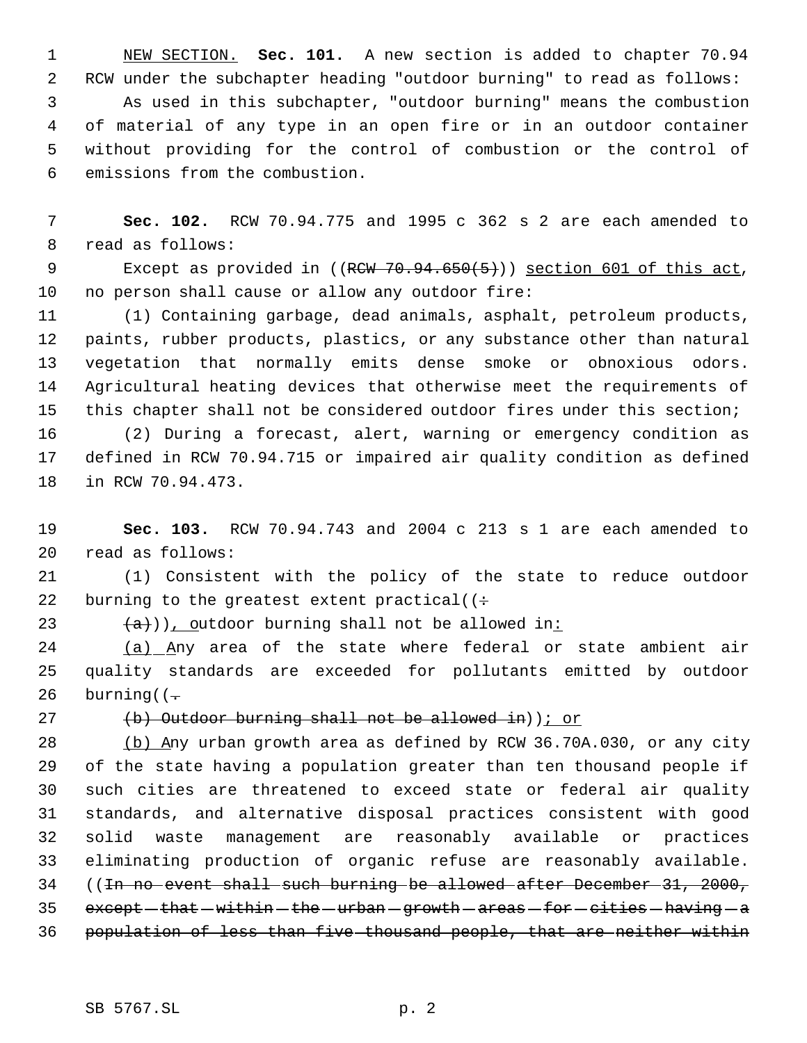NEW SECTION. **Sec. 101.** A new section is added to chapter 70.94 RCW under the subchapter heading "outdoor burning" to read as follows: As used in this subchapter, "outdoor burning" means the combustion of material of any type in an open fire or in an outdoor container without providing for the control of combustion or the control of emissions from the combustion.

 **Sec. 102.** RCW 70.94.775 and 1995 c 362 s 2 are each amended to read as follows:

9 Except as provided in ((RCW 70.94.650(5))) section 601 of this act, no person shall cause or allow any outdoor fire:

 (1) Containing garbage, dead animals, asphalt, petroleum products, paints, rubber products, plastics, or any substance other than natural vegetation that normally emits dense smoke or obnoxious odors. Agricultural heating devices that otherwise meet the requirements of this chapter shall not be considered outdoor fires under this section;

 (2) During a forecast, alert, warning or emergency condition as defined in RCW 70.94.715 or impaired air quality condition as defined in RCW 70.94.473.

 **Sec. 103.** RCW 70.94.743 and 2004 c 213 s 1 are each amended to read as follows:

 (1) Consistent with the policy of the state to reduce outdoor 22 burning to the greatest extent practical( $($ :

23  $(a+)$ ), outdoor burning shall not be allowed in:

24 (a) Any area of the state where federal or state ambient air quality standards are exceeded for pollutants emitted by outdoor 26 burning( $(-$ 

# $(b)$  Outdoor burning shall not be allowed in) ; or

 (b) Any urban growth area as defined by RCW 36.70A.030, or any city of the state having a population greater than ten thousand people if such cities are threatened to exceed state or federal air quality standards, and alternative disposal practices consistent with good solid waste management are reasonably available or practices eliminating production of organic refuse are reasonably available. ((In no event shall such burning be allowed after December 31, 2000,  $except - that - within - the - urban - growth - areas - for - cities - having - a$ population of less than five thousand people, that are neither within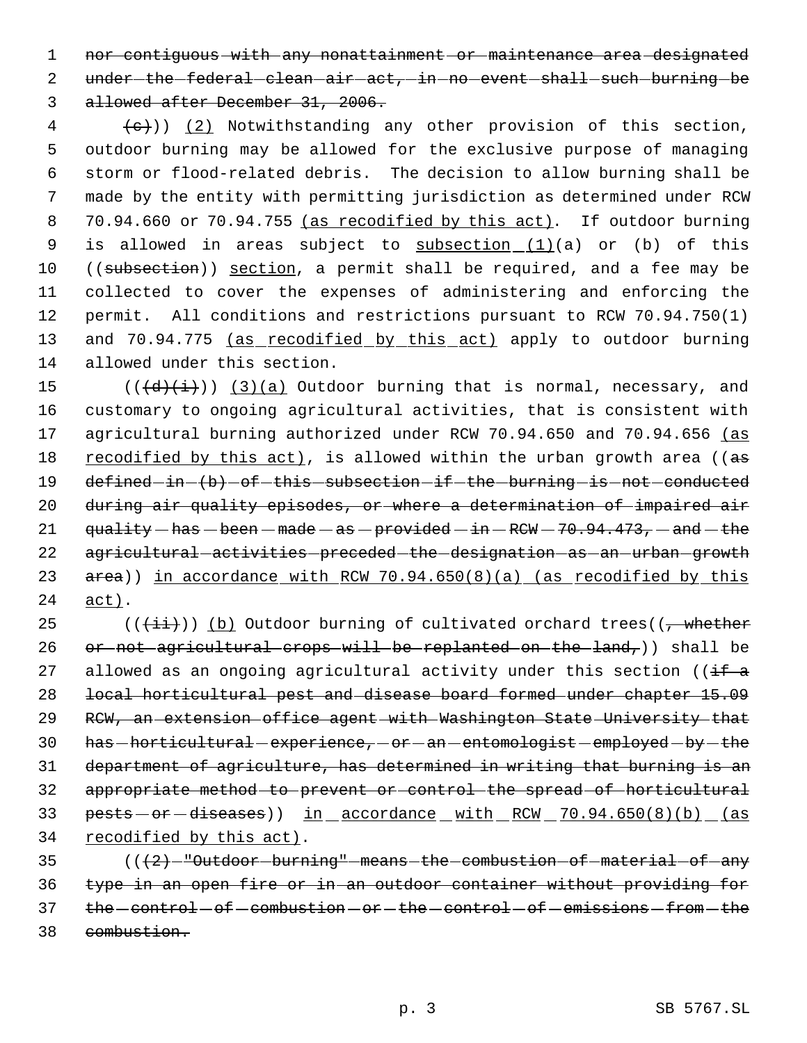1 nor contiguous with any nonattainment or maintenance area designated 2 under-the-federal-clean-air-act, in no event shall such burning be 3 allowed after December 31, 2006.

 $\{e\})$  (2) Notwithstanding any other provision of this section, 5 outdoor burning may be allowed for the exclusive purpose of managing 6 storm or flood-related debris. The decision to allow burning shall be 7 made by the entity with permitting jurisdiction as determined under RCW 8 70.94.660 or 70.94.755 (as recodified by this act). If outdoor burning 9 is allowed in areas subject to  $subsection_ (1) (a)$  or (b) of this 10 ((subsection)) section, a permit shall be required, and a fee may be 11 collected to cover the expenses of administering and enforcing the 12 permit. All conditions and restrictions pursuant to RCW 70.94.750(1) 13 and 70.94.775 (as recodified by this act) apply to outdoor burning 14 allowed under this section.

15  $((\{d\},\{i\}))$   $(3)(a)$  Outdoor burning that is normal, necessary, and 16 customary to ongoing agricultural activities, that is consistent with 17 agricultural burning authorized under RCW 70.94.650 and 70.94.656 (as 18 recodified by this act), is allowed within the urban growth area ((as 19 defined-in-(b)-of-this-subsection-if-the-burning-is-not-conducted 20 during air quality episodes, or where a determination of impaired air 21  $quality - has - been - made - as - provided - in - RCW - 70.94.473, - and - the$ 22 agricultural activities preceded the designation as an urban growth 23 area)) in accordance with RCW 70.94.650(8)(a) (as recodified by this 24 act).

25 ( $(\overrightarrow{\pm i})$ ) (b) Outdoor burning of cultivated orchard trees( $\overrightarrow{y}$  whether 26 or not agricultural crops will be replanted on the land, ) shall be 27 allowed as an ongoing agricultural activity under this section (( $\frac{1}{16}$  a 28 local horticultural pest and disease board formed under chapter 15.09 29 RCW, an extension office agent with Washington State University that 30 has -horticultural - experience, - or - an - entomologist - employed - by - the 31 department of agriculture, has determined in writing that burning is an 32 appropriate method to prevent or control the spread of horticultural 33 pests - or - diseases)) in accordance with RCW 70.94.650(8)(b) (as 34 recodified by this act).

35 (( $\left( +2 \right)$ -"Outdoor-burning"-means-the-combustion-of-material-of-any 36 type in an open fire or in an outdoor container without providing for 37 the control - of combustion - or - the control - of - emissions - from - the 38 combustion.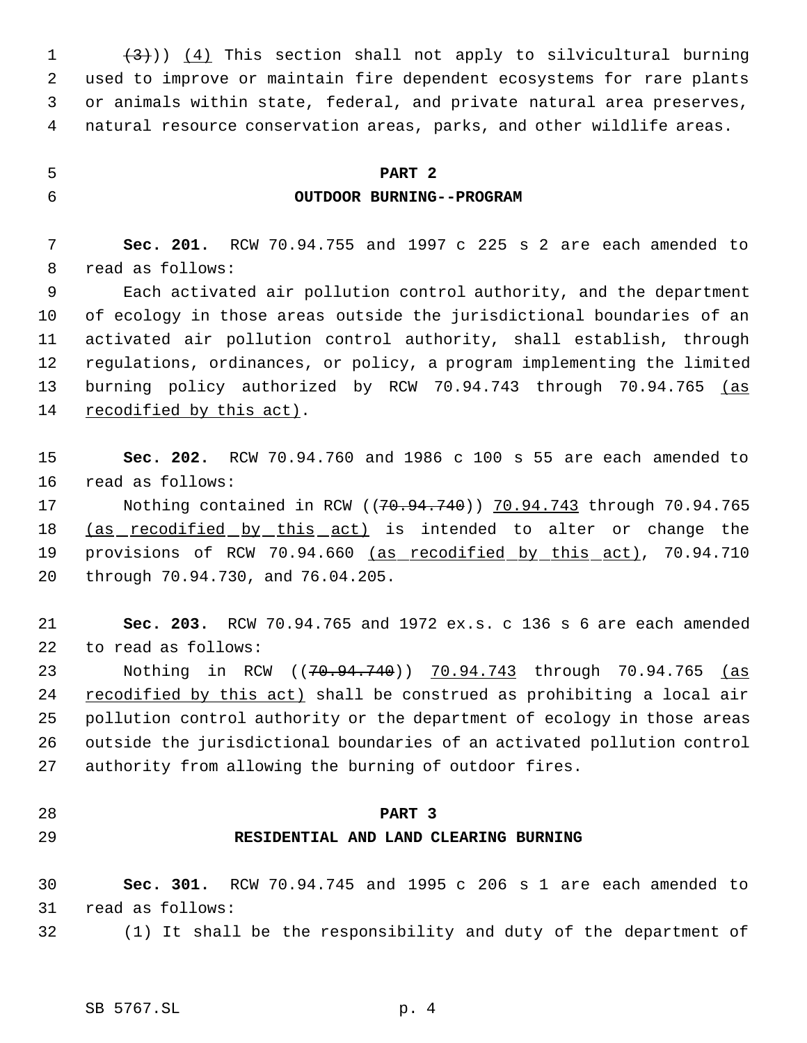$(3)$ ) (4) This section shall not apply to silvicultural burning used to improve or maintain fire dependent ecosystems for rare plants or animals within state, federal, and private natural area preserves, natural resource conservation areas, parks, and other wildlife areas.

# **PART 2**

#### **OUTDOOR BURNING--PROGRAM**

 **Sec. 201.** RCW 70.94.755 and 1997 c 225 s 2 are each amended to read as follows:

 Each activated air pollution control authority, and the department of ecology in those areas outside the jurisdictional boundaries of an activated air pollution control authority, shall establish, through regulations, ordinances, or policy, a program implementing the limited 13 burning policy authorized by RCW 70.94.743 through 70.94.765 (as 14 recodified by this act).

 **Sec. 202.** RCW 70.94.760 and 1986 c 100 s 55 are each amended to read as follows:

17 Nothing contained in RCW ((70.94.740)) 70.94.743 through 70.94.765 18 (as recodified by this act) is intended to alter or change the 19 provisions of RCW 70.94.660 (as recodified by this act), 70.94.710 through 70.94.730, and 76.04.205.

 **Sec. 203.** RCW 70.94.765 and 1972 ex.s. c 136 s 6 are each amended to read as follows:

23 Nothing in RCW ((<del>70.94.740</del>)) 70.94.743 through 70.94.765 <u>(as</u> 24 recodified by this act) shall be construed as prohibiting a local air pollution control authority or the department of ecology in those areas outside the jurisdictional boundaries of an activated pollution control authority from allowing the burning of outdoor fires.

### **PART 3**

#### **RESIDENTIAL AND LAND CLEARING BURNING**

 **Sec. 301.** RCW 70.94.745 and 1995 c 206 s 1 are each amended to read as follows:

(1) It shall be the responsibility and duty of the department of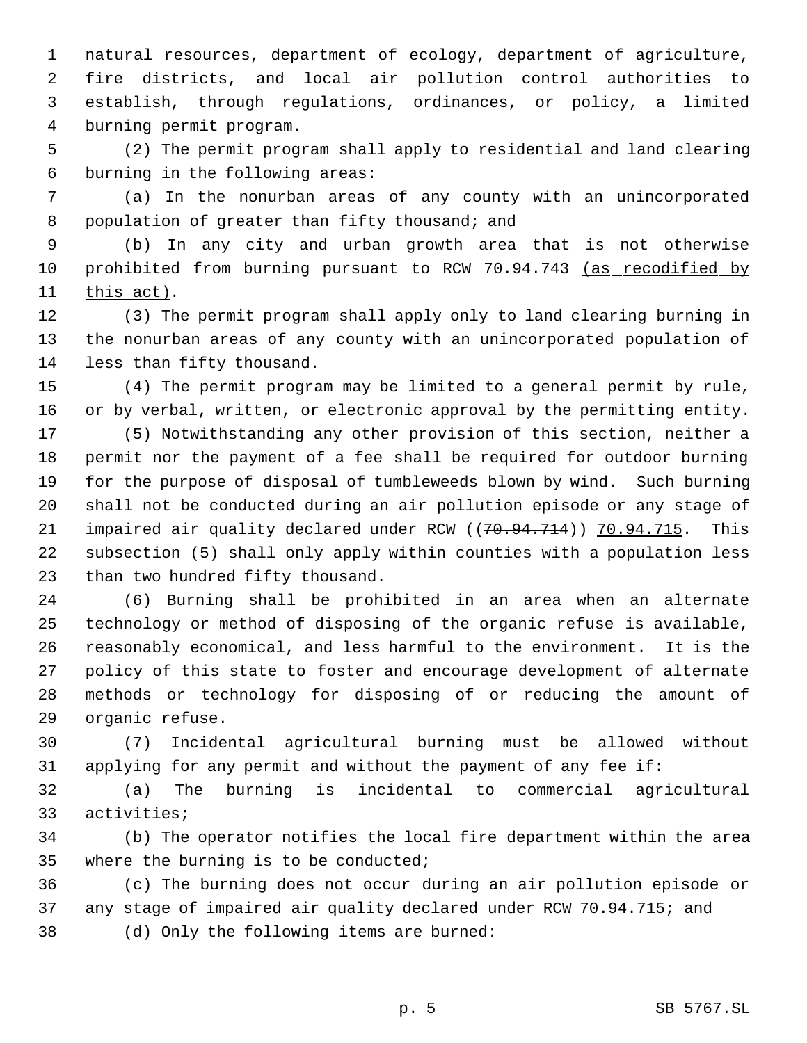natural resources, department of ecology, department of agriculture, fire districts, and local air pollution control authorities to establish, through regulations, ordinances, or policy, a limited burning permit program.

 (2) The permit program shall apply to residential and land clearing burning in the following areas:

 (a) In the nonurban areas of any county with an unincorporated 8 population of greater than fifty thousand; and

 (b) In any city and urban growth area that is not otherwise 10 prohibited from burning pursuant to RCW 70.94.743 (as recodified by this act).

 (3) The permit program shall apply only to land clearing burning in the nonurban areas of any county with an unincorporated population of less than fifty thousand.

 (4) The permit program may be limited to a general permit by rule, or by verbal, written, or electronic approval by the permitting entity.

 (5) Notwithstanding any other provision of this section, neither a permit nor the payment of a fee shall be required for outdoor burning for the purpose of disposal of tumbleweeds blown by wind. Such burning shall not be conducted during an air pollution episode or any stage of 21 impaired air quality declared under RCW ((70.94.714)) 70.94.715. This subsection (5) shall only apply within counties with a population less than two hundred fifty thousand.

 (6) Burning shall be prohibited in an area when an alternate technology or method of disposing of the organic refuse is available, reasonably economical, and less harmful to the environment. It is the policy of this state to foster and encourage development of alternate methods or technology for disposing of or reducing the amount of organic refuse.

 (7) Incidental agricultural burning must be allowed without applying for any permit and without the payment of any fee if:

 (a) The burning is incidental to commercial agricultural activities;

 (b) The operator notifies the local fire department within the area where the burning is to be conducted;

 (c) The burning does not occur during an air pollution episode or any stage of impaired air quality declared under RCW 70.94.715; and (d) Only the following items are burned: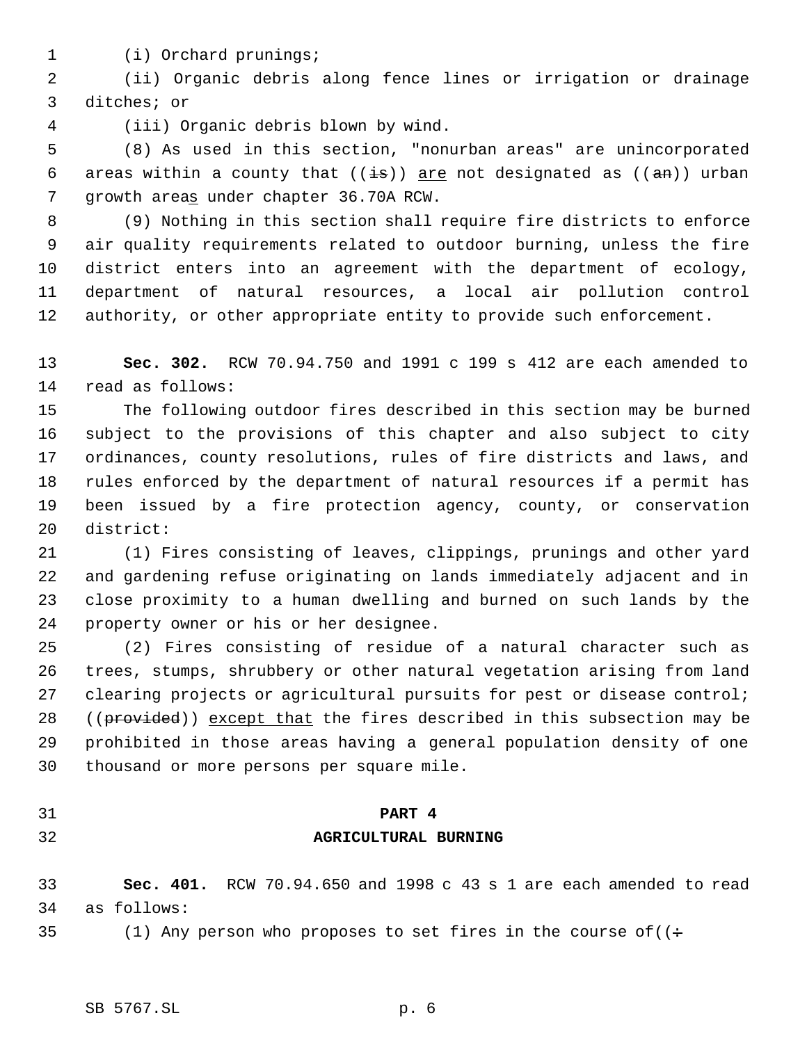(i) Orchard prunings;

 (ii) Organic debris along fence lines or irrigation or drainage ditches; or

(iii) Organic debris blown by wind.

 (8) As used in this section, "nonurban areas" are unincorporated 6 areas within a county that  $((\frac{1}{15}))$  are not designated as  $((\frac{1}{2}m))$  urban growth areas under chapter 36.70A RCW.

 (9) Nothing in this section shall require fire districts to enforce air quality requirements related to outdoor burning, unless the fire district enters into an agreement with the department of ecology, department of natural resources, a local air pollution control authority, or other appropriate entity to provide such enforcement.

 **Sec. 302.** RCW 70.94.750 and 1991 c 199 s 412 are each amended to read as follows:

 The following outdoor fires described in this section may be burned subject to the provisions of this chapter and also subject to city ordinances, county resolutions, rules of fire districts and laws, and rules enforced by the department of natural resources if a permit has been issued by a fire protection agency, county, or conservation district:

 (1) Fires consisting of leaves, clippings, prunings and other yard and gardening refuse originating on lands immediately adjacent and in close proximity to a human dwelling and burned on such lands by the property owner or his or her designee.

 (2) Fires consisting of residue of a natural character such as trees, stumps, shrubbery or other natural vegetation arising from land 27 clearing projects or agricultural pursuits for pest or disease control; 28 ((provided)) except that the fires described in this subsection may be prohibited in those areas having a general population density of one thousand or more persons per square mile.

# **PART 4**

# **AGRICULTURAL BURNING**

# **Sec. 401.** RCW 70.94.650 and 1998 c 43 s 1 are each amended to read as follows:

35 (1) Any person who proposes to set fires in the course of  $($   $\div$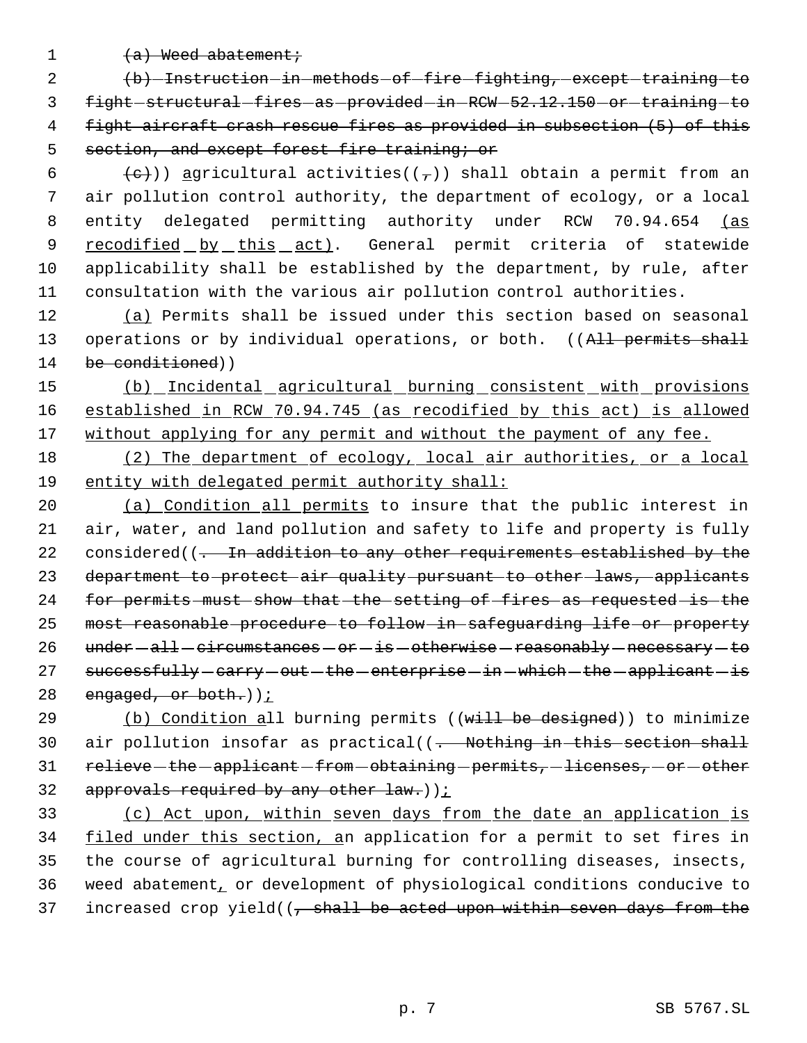1  $(a)$  Weed abatement;

2 (b) Instruction in methods of fire fighting, except training to 3 fight structural fires as provided in RCW - 52.12.150 - or training - to 4 fight aircraft crash rescue fires as provided in subsection (5) of this 5 section, and except forest fire training; or

6 (e)) agricultural activities(( $\tau$ )) shall obtain a permit from an air pollution control authority, the department of ecology, or a local entity delegated permitting authority under RCW 70.94.654 (as 9 recodified by this act). General permit criteria of statewide applicability shall be established by the department, by rule, after consultation with the various air pollution control authorities.

12 (a) Permits shall be issued under this section based on seasonal 13 operations or by individual operations, or both. ((All permits shall 14 be conditioned))

15 (b) Incidental agricultural burning consistent with provisions 16 established in RCW 70.94.745 (as recodified by this act) is allowed 17 without applying for any permit and without the payment of any fee.

18 (2) The department of ecology, local air authorities, or a local 19 entity with delegated permit authority shall:

20 (a) Condition all permits to insure that the public interest in 21 air, water, and land pollution and safety to life and property is fully 22 considered((- In addition to any other requirements established by the 23 department to protect air quality pursuant to other laws, applicants 24 for permits must show that the setting of fires as requested is the 25 most reasonable procedure to follow in safeguarding life or property 26 under - all - circumstances - or - is - otherwise - reasonably - necessary - to 27 successfully - carry - out - the - enterprise - in - which - the - applicant - is 28 engaged, or both.)  $\frac{1}{2}$ 

29 (b) Condition all burning permits ((will be designed)) to minimize 30 air pollution insofar as practical((- Nothing in this section shall 31 relieve-the-applicant-from-obtaining-permits, licenses, or other 32 approvals required by any other  $law.$ )  $\sum$ 

33 (c) Act upon, within seven days from the date an application is 34 filed under this section, an application for a permit to set fires in 35 the course of agricultural burning for controlling diseases, insects, 36 weed abatement, or development of physiological conditions conducive to 37 increased crop yield( $\left(-\right)$  shall be acted upon within seven days from the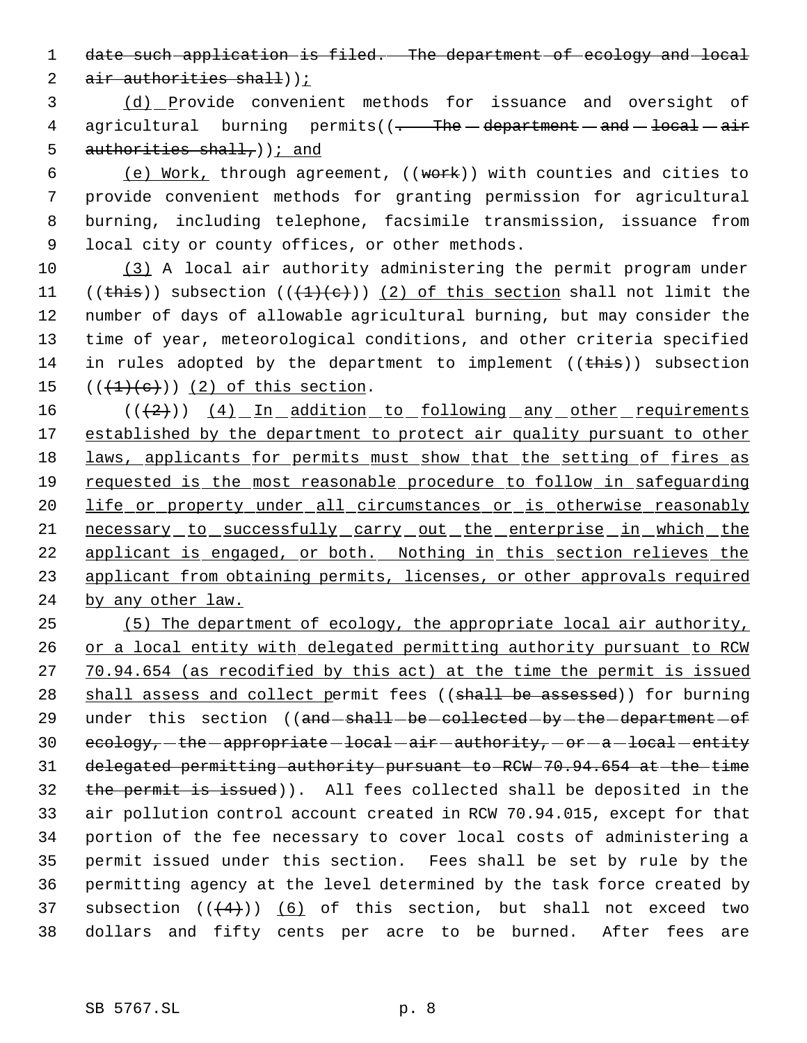1 date such application is filed. The department of ecology and local

2 air authorities shall));

 3 (d) Provide convenient methods for issuance and oversight of 4 agricultural burning permits( $(-$ The department - and - local - air 5 authorities shall,  $)$  i and

6 (e) Work, through agreement,  $((work))$  with counties and cities to provide convenient methods for granting permission for agricultural burning, including telephone, facsimile transmission, issuance from local city or county offices, or other methods.

10 (3) A local air authority administering the permit program under 11 ((this)) subsection  $((+1)+(e))$  (2) of this section shall not limit the 12 number of days of allowable agricultural burning, but may consider the 13 time of year, meteorological conditions, and other criteria specified 14 in rules adopted by the department to implement  $((\overline{this}))$  subsection 15  $((+1)+(e))$   $(2)$  of this section.

16 (((2)) (4) In addition to following any other requirements 17 established by the department to protect air quality pursuant to other 18 laws, applicants for permits must show that the setting of fires as 19 requested is the most reasonable procedure to follow in safeguarding 20 life or property under all circumstances or is otherwise reasonably 21 necessary to successfully carry out the enterprise in which the 22 applicant is engaged, or both. Nothing in this section relieves the 23 applicant from obtaining permits, licenses, or other approvals required 24 by any other law.

 (5) The department of ecology, the appropriate local air authority, 26 or a local entity with delegated permitting authority pursuant to RCW 70.94.654 (as recodified by this act) at the time the permit is issued 28 shall assess and collect permit fees ((shall be assessed)) for burning 29 under this section ((and shall be collected by the department of  $ecology_{\tau}$  -the -appropriate -local -air -authority, -or -a -local -entity delegated permitting authority pursuant to RCW 70.94.654 at the time the permit is issued)). All fees collected shall be deposited in the air pollution control account created in RCW 70.94.015, except for that portion of the fee necessary to cover local costs of administering a permit issued under this section. Fees shall be set by rule by the permitting agency at the level determined by the task force created by 37 subsection  $((+4))$  (6) of this section, but shall not exceed two dollars and fifty cents per acre to be burned. After fees are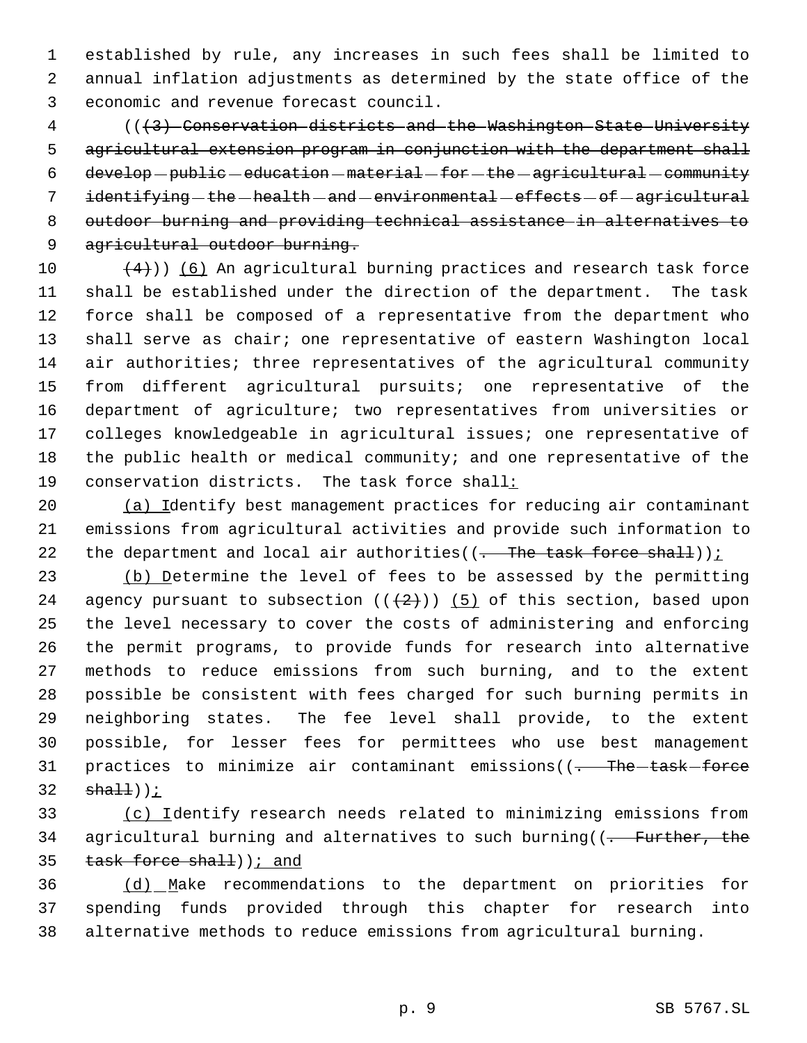established by rule, any increases in such fees shall be limited to annual inflation adjustments as determined by the state office of the economic and revenue forecast council.

 (((3) Conservation districts and the Washington State University agricultural extension program in conjunction with the department shall develop-public-education-material-for-the-agricultural-community 7 identifying - the - health - and - environmental - effects - of - agricultural outdoor burning and providing technical assistance in alternatives to 9 agricultural outdoor burning.

 $(4)$ )) (6) An agricultural burning practices and research task force shall be established under the direction of the department. The task force shall be composed of a representative from the department who shall serve as chair; one representative of eastern Washington local air authorities; three representatives of the agricultural community from different agricultural pursuits; one representative of the department of agriculture; two representatives from universities or colleges knowledgeable in agricultural issues; one representative of the public health or medical community; and one representative of the conservation districts. The task force shall:

 (a) Identify best management practices for reducing air contaminant emissions from agricultural activities and provide such information to 22 the department and local air authorities( $(-$ The task force shall)) $\frac{i}{r}$ 

23 (b) Determine the level of fees to be assessed by the permitting 24 agency pursuant to subsection  $((+2)^n)$  (5) of this section, based upon the level necessary to cover the costs of administering and enforcing the permit programs, to provide funds for research into alternative methods to reduce emissions from such burning, and to the extent possible be consistent with fees charged for such burning permits in neighboring states. The fee level shall provide, to the extent possible, for lesser fees for permittees who use best management 31 practices to minimize air contaminant emissions((<del>. The task force</del>  $sha11$ ));

33 (c) Identify research needs related to minimizing emissions from 34 agricultural burning and alternatives to such burning((<del>. Further, the</del> 35 task force shall) ) ; and

 (d) Make recommendations to the department on priorities for spending funds provided through this chapter for research into alternative methods to reduce emissions from agricultural burning.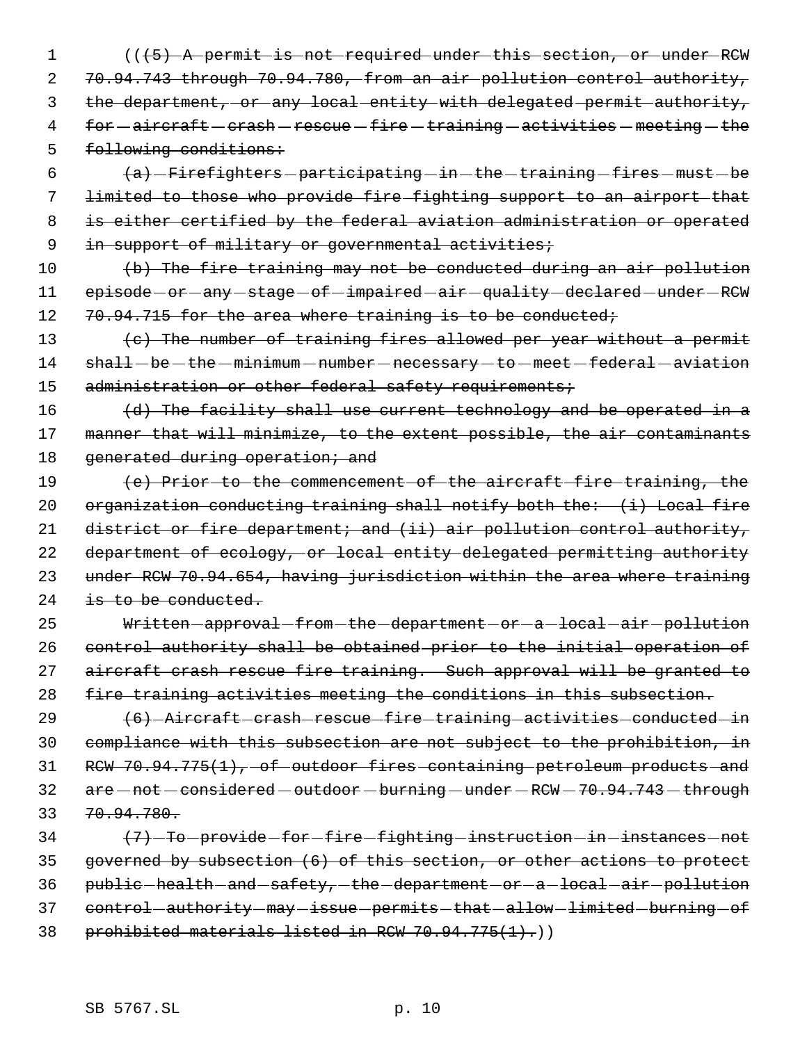1 (( $+5$ ) A permit is not required under this section, or under RCW 2 70.94.743 through 70.94.780, from an air pollution control authority, 3 the department, or any local entity with delegated permit authority, 4 for - aircraft - crash - rescue - fire - training - activities - meeting - the 5 following conditions:

 $(a)$  -Firefighters -participating -in -the -training -fires -must -be limited to those who provide fire fighting support to an airport that is either certified by the federal aviation administration or operated 9 in support of military or governmental activities;

10 (b) The fire training may not be conducted during an air pollution 11 episode-or-any-stage-of-impaired-air-quality-declared-under-RCW 12 70.94.715 for the area where training is to be conducted;

13 (c) The number of training fires allowed per year without a permit 14 shall-be-the-minimum-number-necessary-to-meet-federal-aviation 15 administration or other federal safety requirements;

16 (d) The facility shall use current technology and be operated in a 17 manner that will minimize, to the extent possible, the air contaminants 18 generated during operation; and

19 (e) Prior to the commencement of the aircraft fire training, the 20 organization conducting training shall notify both the: (i) Local fire 21 district or fire department; and (ii) air pollution control authority, 22 department of ecology, or local entity delegated permitting authority 23 under RCW 70.94.654, having jurisdiction within the area where training 24 is to be conducted.

25 Written-approval-from-the-department-or-a-local-air-pollution 26 control authority shall be obtained prior to the initial operation of 27 aircraft crash rescue fire training. Such approval will be granted to 28 fire training activities meeting the conditions in this subsection.

29 (6) - Aircraft crash rescue fire training activities conducted in 30 compliance with this subsection are not subject to the prohibition, in 31 RCW 70.94.775(1), of outdoor fires containing petroleum products and  $32$  are  $-$  not  $-$  considered  $-$  outdoor  $-$  burning  $-$  under  $-$  RCW  $-$  70.94.743  $-$  through 33 70.94.780.

34 (7) To provide for fire fighting instruction in instances not 35 governed by subsection (6) of this section, or other actions to protect 36 public-health-and-safety,-the-department-or-a-local-air-pollution 37 control-authority-may-issue-permits-that-allow-limited-burning-of 38 prohibited materials listed in RCW 70.94.775(1).)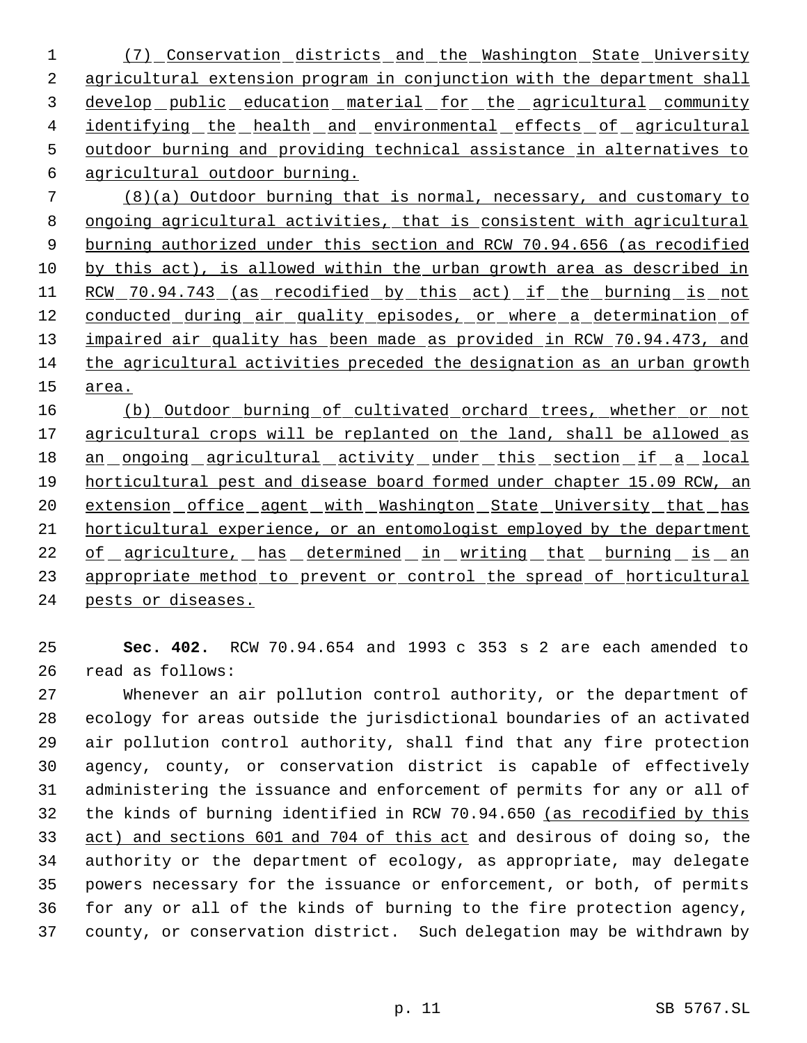(7) Conservation districts and the Washington State University agricultural extension program in conjunction with the department shall 3 develop public education material for the agricultural community 4 identifying the health and environmental effects of agricultural outdoor burning and providing technical assistance in alternatives to agricultural outdoor burning.

 (8)(a) Outdoor burning that is normal, necessary, and customary to ongoing agricultural activities, that is consistent with agricultural burning authorized under this section and RCW 70.94.656 (as recodified by this act), is allowed within the urban growth area as described in 11 RCW 70.94.743 (as recodified by this act) if the burning is not 12 conducted during air quality episodes, or where a determination of 13 impaired air quality has been made as provided in RCW 70.94.473, and the agricultural activities preceded the designation as an urban growth area.

16 (b) Outdoor burning of cultivated orchard trees, whether or not 17 agricultural crops will be replanted on the land, shall be allowed as 18 an ongoing agricultural activity under this section if a local horticultural pest and disease board formed under chapter 15.09 RCW, an 20 extension office agent with Washington State University that has horticultural experience, or an entomologist employed by the department 22 of agriculture, has determined in writing that burning is an 23 appropriate method to prevent or control the spread of horticultural pests or diseases.

 **Sec. 402.** RCW 70.94.654 and 1993 c 353 s 2 are each amended to read as follows:

 Whenever an air pollution control authority, or the department of ecology for areas outside the jurisdictional boundaries of an activated air pollution control authority, shall find that any fire protection agency, county, or conservation district is capable of effectively administering the issuance and enforcement of permits for any or all of the kinds of burning identified in RCW 70.94.650 (as recodified by this act) and sections 601 and 704 of this act and desirous of doing so, the authority or the department of ecology, as appropriate, may delegate powers necessary for the issuance or enforcement, or both, of permits for any or all of the kinds of burning to the fire protection agency, county, or conservation district. Such delegation may be withdrawn by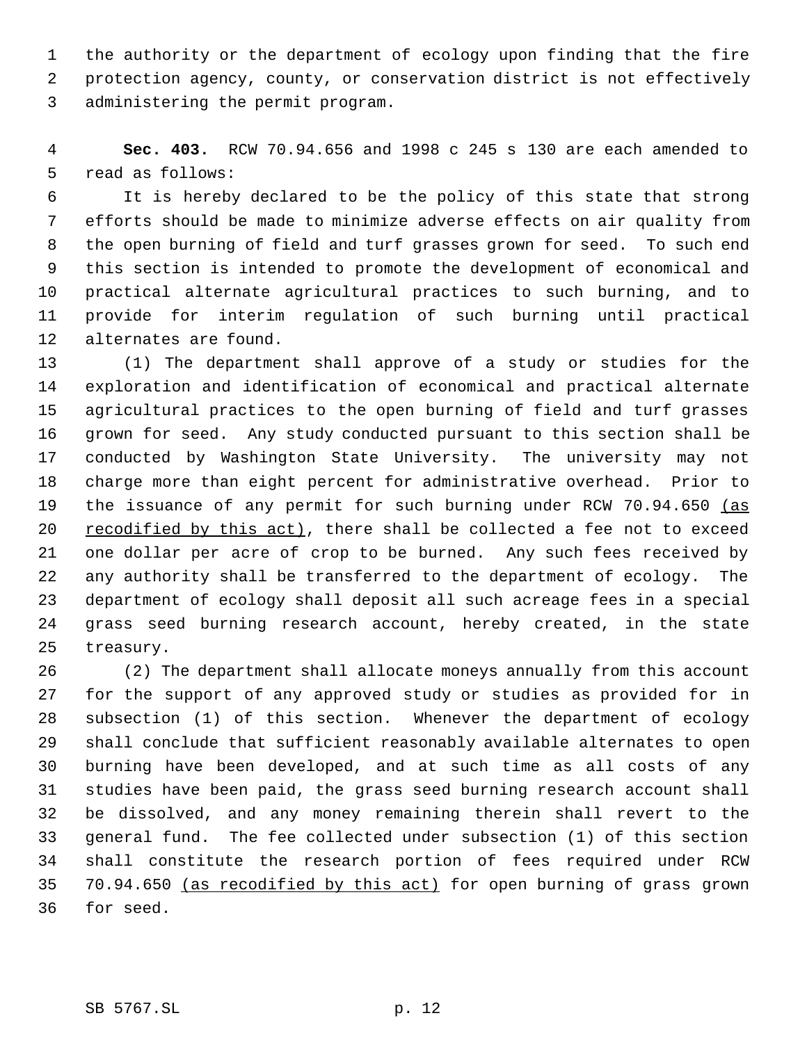the authority or the department of ecology upon finding that the fire protection agency, county, or conservation district is not effectively administering the permit program.

 **Sec. 403.** RCW 70.94.656 and 1998 c 245 s 130 are each amended to read as follows:

 It is hereby declared to be the policy of this state that strong efforts should be made to minimize adverse effects on air quality from the open burning of field and turf grasses grown for seed. To such end this section is intended to promote the development of economical and practical alternate agricultural practices to such burning, and to provide for interim regulation of such burning until practical alternates are found.

 (1) The department shall approve of a study or studies for the exploration and identification of economical and practical alternate agricultural practices to the open burning of field and turf grasses grown for seed. Any study conducted pursuant to this section shall be conducted by Washington State University. The university may not charge more than eight percent for administrative overhead. Prior to 19 the issuance of any permit for such burning under RCW 70.94.650 (as recodified by this act), there shall be collected a fee not to exceed one dollar per acre of crop to be burned. Any such fees received by any authority shall be transferred to the department of ecology. The department of ecology shall deposit all such acreage fees in a special grass seed burning research account, hereby created, in the state treasury.

 (2) The department shall allocate moneys annually from this account for the support of any approved study or studies as provided for in subsection (1) of this section. Whenever the department of ecology shall conclude that sufficient reasonably available alternates to open burning have been developed, and at such time as all costs of any studies have been paid, the grass seed burning research account shall be dissolved, and any money remaining therein shall revert to the general fund. The fee collected under subsection (1) of this section shall constitute the research portion of fees required under RCW 70.94.650 (as recodified by this act) for open burning of grass grown for seed.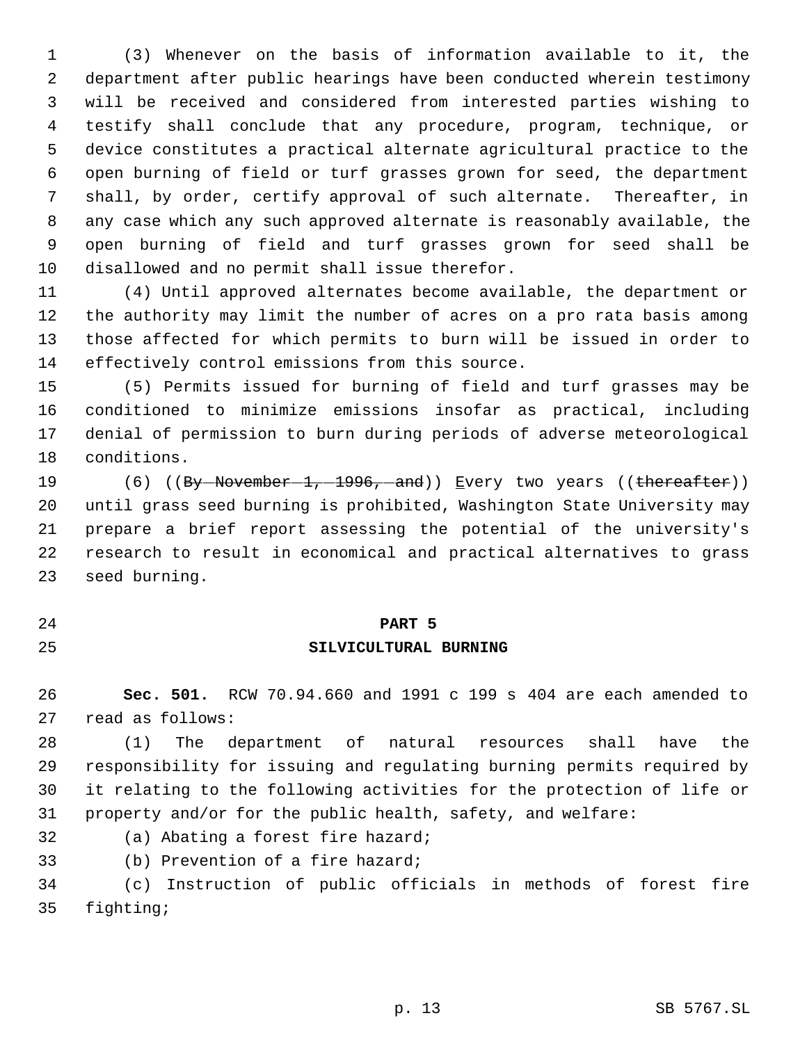(3) Whenever on the basis of information available to it, the department after public hearings have been conducted wherein testimony will be received and considered from interested parties wishing to testify shall conclude that any procedure, program, technique, or device constitutes a practical alternate agricultural practice to the open burning of field or turf grasses grown for seed, the department shall, by order, certify approval of such alternate. Thereafter, in any case which any such approved alternate is reasonably available, the open burning of field and turf grasses grown for seed shall be disallowed and no permit shall issue therefor.

 (4) Until approved alternates become available, the department or the authority may limit the number of acres on a pro rata basis among those affected for which permits to burn will be issued in order to effectively control emissions from this source.

 (5) Permits issued for burning of field and turf grasses may be conditioned to minimize emissions insofar as practical, including denial of permission to burn during periods of adverse meteorological conditions.

19 (6) ((By-November 1, 1996, and)) Every two years ((thereafter)) until grass seed burning is prohibited, Washington State University may prepare a brief report assessing the potential of the university's research to result in economical and practical alternatives to grass seed burning.

#### **PART 5**

# **SILVICULTURAL BURNING**

 **Sec. 501.** RCW 70.94.660 and 1991 c 199 s 404 are each amended to read as follows:

 (1) The department of natural resources shall have the responsibility for issuing and regulating burning permits required by it relating to the following activities for the protection of life or property and/or for the public health, safety, and welfare:

- (a) Abating a forest fire hazard;
- (b) Prevention of a fire hazard;

 (c) Instruction of public officials in methods of forest fire fighting;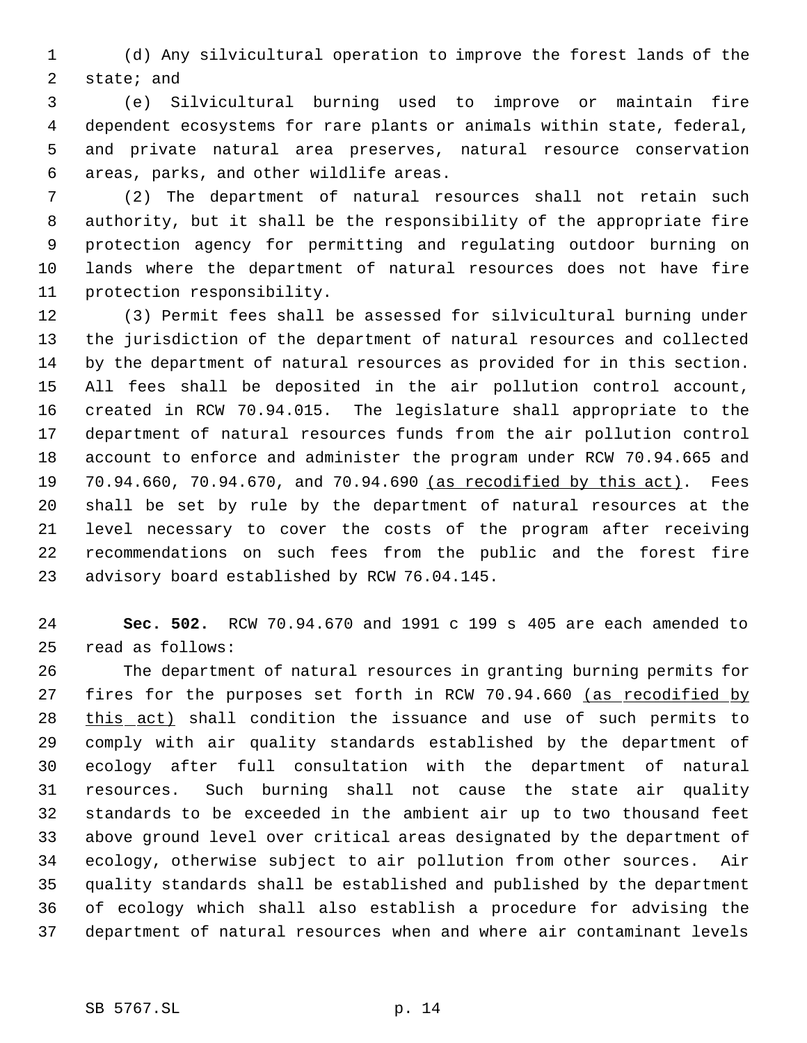(d) Any silvicultural operation to improve the forest lands of the state; and

 (e) Silvicultural burning used to improve or maintain fire dependent ecosystems for rare plants or animals within state, federal, and private natural area preserves, natural resource conservation areas, parks, and other wildlife areas.

 (2) The department of natural resources shall not retain such authority, but it shall be the responsibility of the appropriate fire protection agency for permitting and regulating outdoor burning on lands where the department of natural resources does not have fire protection responsibility.

 (3) Permit fees shall be assessed for silvicultural burning under the jurisdiction of the department of natural resources and collected by the department of natural resources as provided for in this section. All fees shall be deposited in the air pollution control account, created in RCW 70.94.015. The legislature shall appropriate to the department of natural resources funds from the air pollution control account to enforce and administer the program under RCW 70.94.665 and 19 70.94.660, 70.94.670, and 70.94.690 (as recodified by this act). Fees shall be set by rule by the department of natural resources at the level necessary to cover the costs of the program after receiving recommendations on such fees from the public and the forest fire advisory board established by RCW 76.04.145.

 **Sec. 502.** RCW 70.94.670 and 1991 c 199 s 405 are each amended to read as follows:

 The department of natural resources in granting burning permits for 27 fires for the purposes set forth in RCW 70.94.660 (as recodified by this act) shall condition the issuance and use of such permits to comply with air quality standards established by the department of ecology after full consultation with the department of natural resources. Such burning shall not cause the state air quality standards to be exceeded in the ambient air up to two thousand feet above ground level over critical areas designated by the department of ecology, otherwise subject to air pollution from other sources. Air quality standards shall be established and published by the department of ecology which shall also establish a procedure for advising the department of natural resources when and where air contaminant levels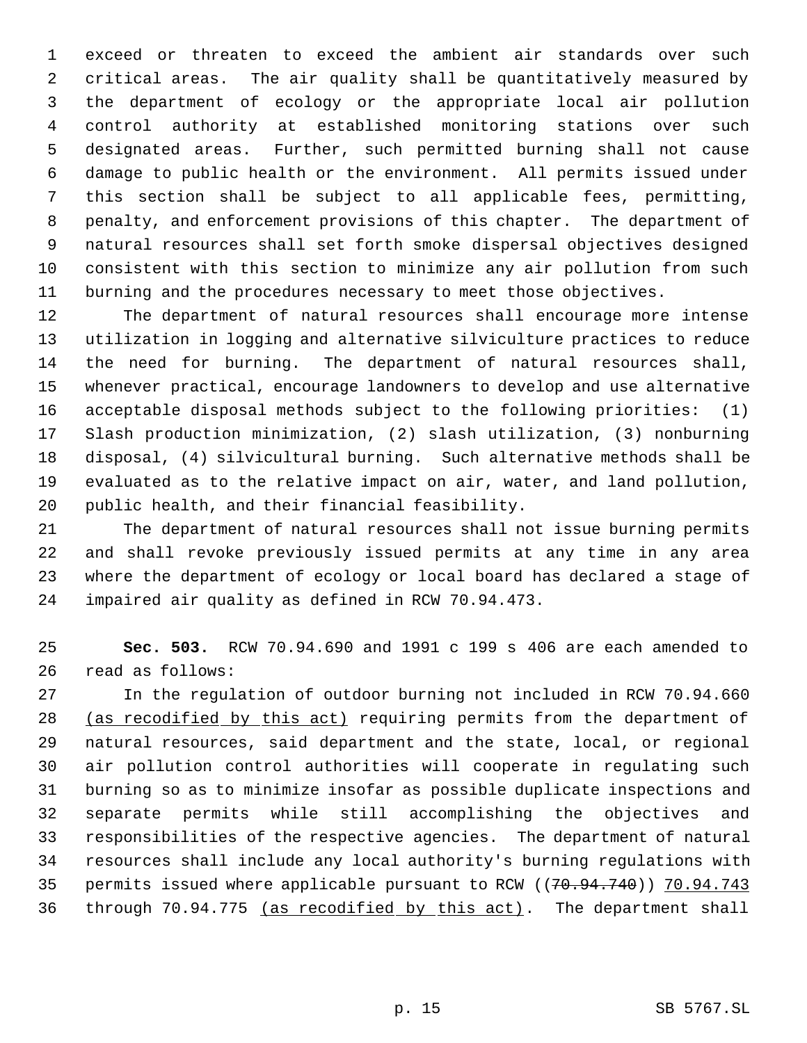exceed or threaten to exceed the ambient air standards over such critical areas. The air quality shall be quantitatively measured by the department of ecology or the appropriate local air pollution control authority at established monitoring stations over such designated areas. Further, such permitted burning shall not cause damage to public health or the environment. All permits issued under this section shall be subject to all applicable fees, permitting, penalty, and enforcement provisions of this chapter. The department of natural resources shall set forth smoke dispersal objectives designed consistent with this section to minimize any air pollution from such burning and the procedures necessary to meet those objectives.

 The department of natural resources shall encourage more intense utilization in logging and alternative silviculture practices to reduce the need for burning. The department of natural resources shall, whenever practical, encourage landowners to develop and use alternative acceptable disposal methods subject to the following priorities: (1) Slash production minimization, (2) slash utilization, (3) nonburning disposal, (4) silvicultural burning. Such alternative methods shall be evaluated as to the relative impact on air, water, and land pollution, public health, and their financial feasibility.

 The department of natural resources shall not issue burning permits and shall revoke previously issued permits at any time in any area where the department of ecology or local board has declared a stage of impaired air quality as defined in RCW 70.94.473.

 **Sec. 503.** RCW 70.94.690 and 1991 c 199 s 406 are each amended to read as follows:

 In the regulation of outdoor burning not included in RCW 70.94.660 (as recodified by this act) requiring permits from the department of natural resources, said department and the state, local, or regional air pollution control authorities will cooperate in regulating such burning so as to minimize insofar as possible duplicate inspections and separate permits while still accomplishing the objectives and responsibilities of the respective agencies. The department of natural resources shall include any local authority's burning regulations with 35 permits issued where applicable pursuant to RCW ((70.94.740)) 70.94.743 36 through 70.94.775 (as recodified by this act). The department shall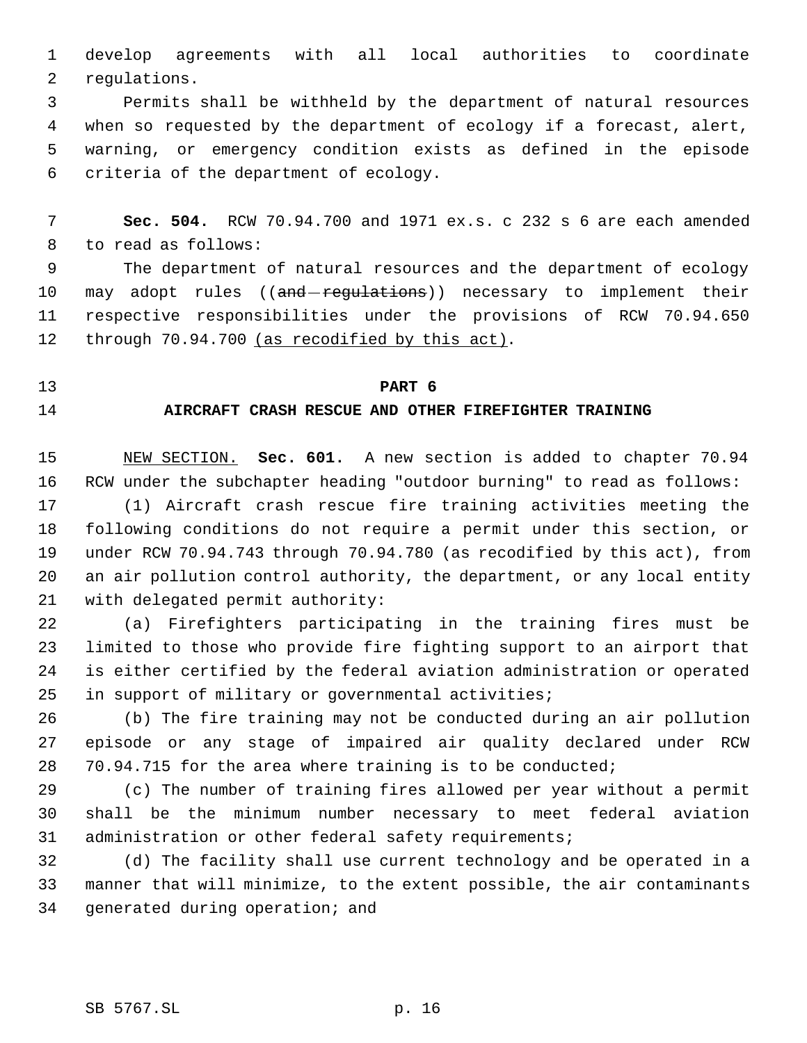develop agreements with all local authorities to coordinate regulations.

 Permits shall be withheld by the department of natural resources when so requested by the department of ecology if a forecast, alert, warning, or emergency condition exists as defined in the episode criteria of the department of ecology.

 **Sec. 504.** RCW 70.94.700 and 1971 ex.s. c 232 s 6 are each amended to read as follows:

 The department of natural resources and the department of ecology 10 may adopt rules ((and regulations)) necessary to implement their respective responsibilities under the provisions of RCW 70.94.650 12 through 70.94.700 (as recodified by this act).

### **PART 6**

# **AIRCRAFT CRASH RESCUE AND OTHER FIREFIGHTER TRAINING**

 NEW SECTION. **Sec. 601.** A new section is added to chapter 70.94 RCW under the subchapter heading "outdoor burning" to read as follows:

 (1) Aircraft crash rescue fire training activities meeting the following conditions do not require a permit under this section, or under RCW 70.94.743 through 70.94.780 (as recodified by this act), from an air pollution control authority, the department, or any local entity with delegated permit authority:

 (a) Firefighters participating in the training fires must be limited to those who provide fire fighting support to an airport that is either certified by the federal aviation administration or operated in support of military or governmental activities;

 (b) The fire training may not be conducted during an air pollution episode or any stage of impaired air quality declared under RCW 70.94.715 for the area where training is to be conducted;

 (c) The number of training fires allowed per year without a permit shall be the minimum number necessary to meet federal aviation 31 administration or other federal safety requirements;

 (d) The facility shall use current technology and be operated in a manner that will minimize, to the extent possible, the air contaminants generated during operation; and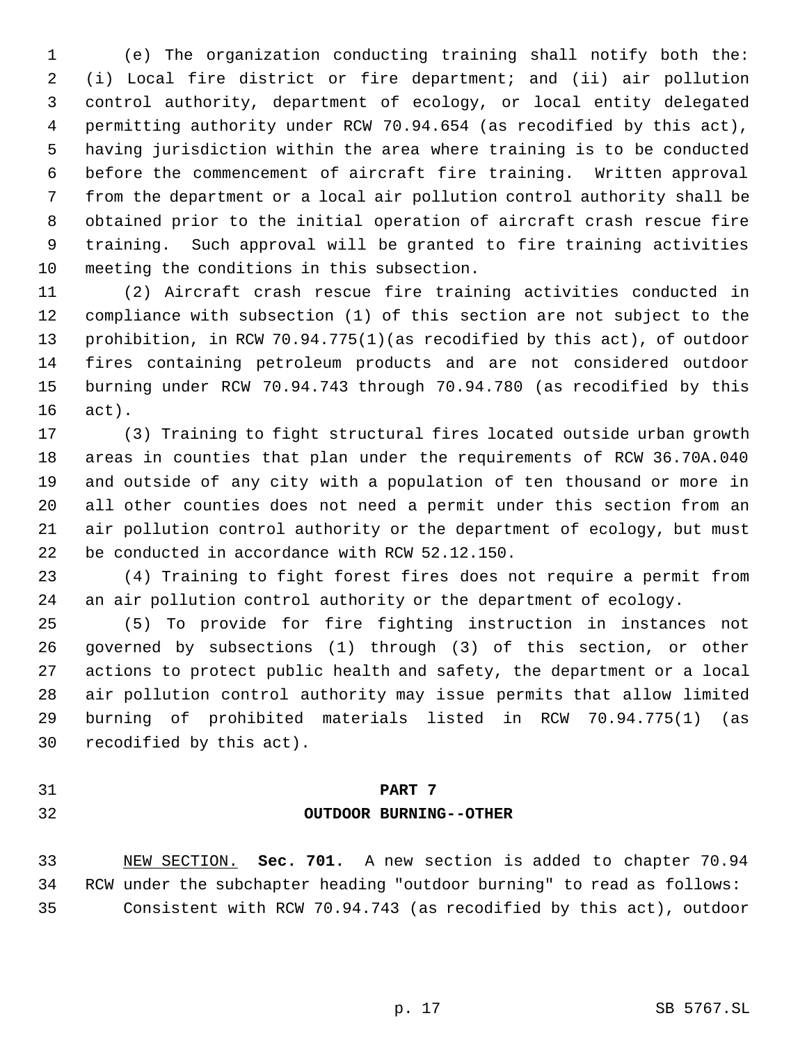(e) The organization conducting training shall notify both the: (i) Local fire district or fire department; and (ii) air pollution control authority, department of ecology, or local entity delegated permitting authority under RCW 70.94.654 (as recodified by this act), having jurisdiction within the area where training is to be conducted before the commencement of aircraft fire training. Written approval from the department or a local air pollution control authority shall be obtained prior to the initial operation of aircraft crash rescue fire training. Such approval will be granted to fire training activities meeting the conditions in this subsection.

 (2) Aircraft crash rescue fire training activities conducted in compliance with subsection (1) of this section are not subject to the prohibition, in RCW 70.94.775(1)(as recodified by this act), of outdoor fires containing petroleum products and are not considered outdoor burning under RCW 70.94.743 through 70.94.780 (as recodified by this act).

 (3) Training to fight structural fires located outside urban growth areas in counties that plan under the requirements of RCW 36.70A.040 and outside of any city with a population of ten thousand or more in all other counties does not need a permit under this section from an air pollution control authority or the department of ecology, but must be conducted in accordance with RCW 52.12.150.

 (4) Training to fight forest fires does not require a permit from an air pollution control authority or the department of ecology.

 (5) To provide for fire fighting instruction in instances not governed by subsections (1) through (3) of this section, or other actions to protect public health and safety, the department or a local air pollution control authority may issue permits that allow limited burning of prohibited materials listed in RCW 70.94.775(1) (as recodified by this act).

### **PART 7**

# **OUTDOOR BURNING--OTHER**

 NEW SECTION. **Sec. 701.** A new section is added to chapter 70.94 RCW under the subchapter heading "outdoor burning" to read as follows: Consistent with RCW 70.94.743 (as recodified by this act), outdoor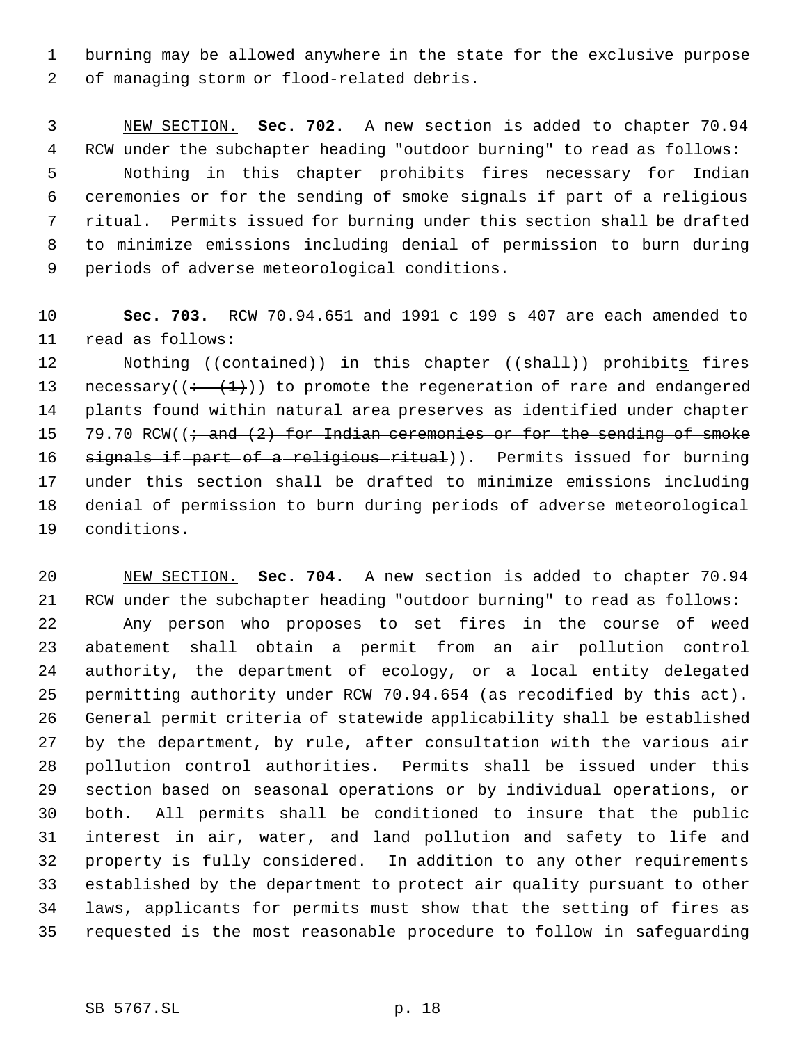burning may be allowed anywhere in the state for the exclusive purpose of managing storm or flood-related debris.

 NEW SECTION. **Sec. 702.** A new section is added to chapter 70.94 RCW under the subchapter heading "outdoor burning" to read as follows: Nothing in this chapter prohibits fires necessary for Indian ceremonies or for the sending of smoke signals if part of a religious ritual. Permits issued for burning under this section shall be drafted to minimize emissions including denial of permission to burn during periods of adverse meteorological conditions.

 **Sec. 703.** RCW 70.94.651 and 1991 c 199 s 407 are each amended to read as follows:

12 Nothing ((contained)) in this chapter ((shall)) prohibits fires 13 necessary( $(+ \t+ (1))$ ) to promote the regeneration of rare and endangered plants found within natural area preserves as identified under chapter 15 79.70 RCW( $\left(\frac{1}{t} \text{ and } 2\right)$  for Indian ceremonies or for the sending of smoke 16 signals if part of a religious ritual)). Permits issued for burning under this section shall be drafted to minimize emissions including denial of permission to burn during periods of adverse meteorological conditions.

 NEW SECTION. **Sec. 704.** A new section is added to chapter 70.94 RCW under the subchapter heading "outdoor burning" to read as follows: Any person who proposes to set fires in the course of weed abatement shall obtain a permit from an air pollution control authority, the department of ecology, or a local entity delegated permitting authority under RCW 70.94.654 (as recodified by this act). General permit criteria of statewide applicability shall be established by the department, by rule, after consultation with the various air pollution control authorities. Permits shall be issued under this section based on seasonal operations or by individual operations, or both. All permits shall be conditioned to insure that the public interest in air, water, and land pollution and safety to life and property is fully considered. In addition to any other requirements established by the department to protect air quality pursuant to other laws, applicants for permits must show that the setting of fires as requested is the most reasonable procedure to follow in safeguarding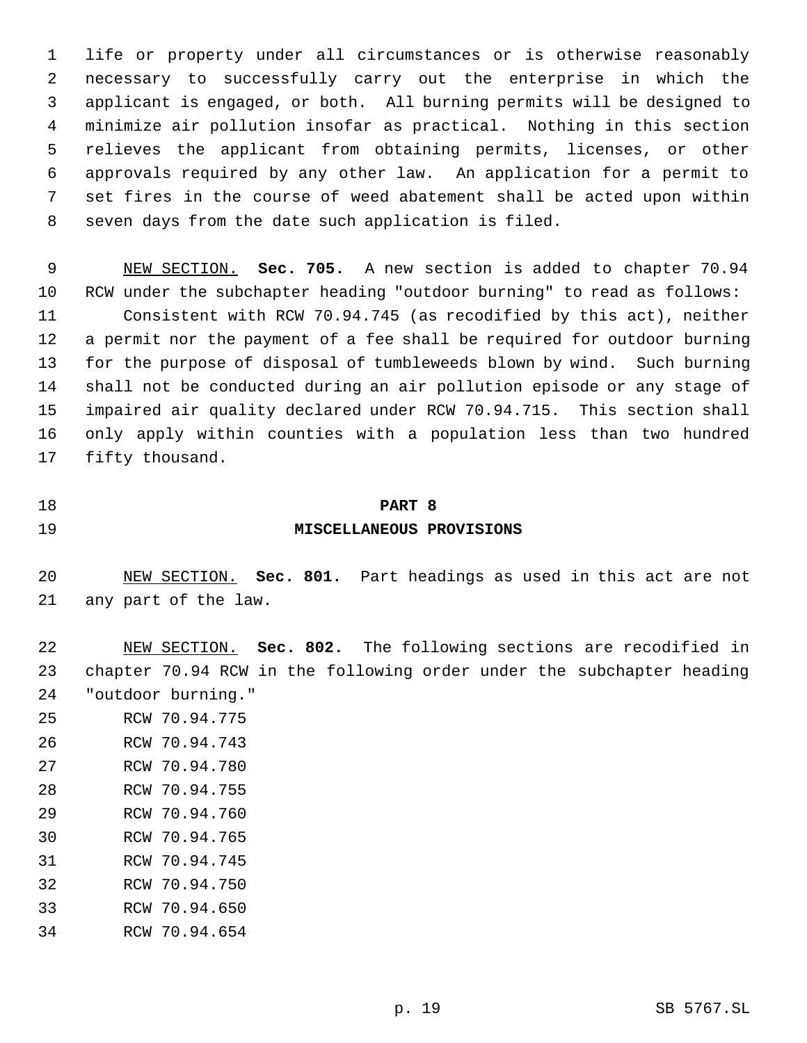life or property under all circumstances or is otherwise reasonably necessary to successfully carry out the enterprise in which the applicant is engaged, or both. All burning permits will be designed to minimize air pollution insofar as practical. Nothing in this section relieves the applicant from obtaining permits, licenses, or other approvals required by any other law. An application for a permit to set fires in the course of weed abatement shall be acted upon within seven days from the date such application is filed.

 NEW SECTION. **Sec. 705.** A new section is added to chapter 70.94 RCW under the subchapter heading "outdoor burning" to read as follows: Consistent with RCW 70.94.745 (as recodified by this act), neither a permit nor the payment of a fee shall be required for outdoor burning for the purpose of disposal of tumbleweeds blown by wind. Such burning shall not be conducted during an air pollution episode or any stage of impaired air quality declared under RCW 70.94.715. This section shall only apply within counties with a population less than two hundred fifty thousand.

#### **PART 8**

# **MISCELLANEOUS PROVISIONS**

 NEW SECTION. **Sec. 801.** Part headings as used in this act are not any part of the law.

 NEW SECTION. **Sec. 802.** The following sections are recodified in chapter 70.94 RCW in the following order under the subchapter heading "outdoor burning."

- RCW 70.94.775
- RCW 70.94.743
- RCW 70.94.780
- RCW 70.94.755
- RCW 70.94.760
- RCW 70.94.765
- RCW 70.94.745
- RCW 70.94.750
- RCW 70.94.650
- RCW 70.94.654